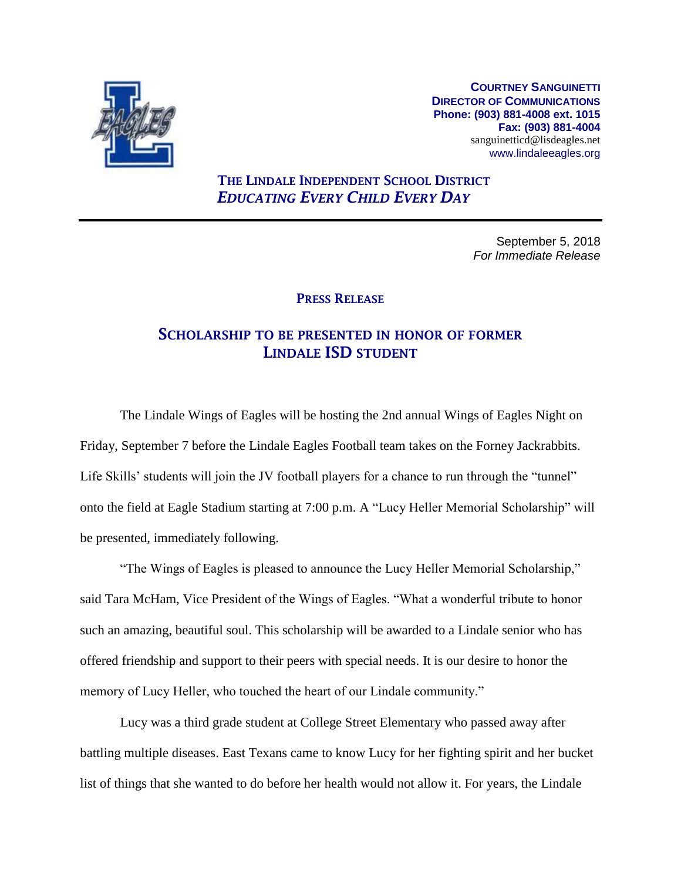

**COURTNEY SANGUINETTI DIRECTOR OF COMMUNICATIONS Phone: (903) 881-4008 ext. 1015 Fax: (903) 881-4004** sanguinetticd@lisdeagles.net www.lindaleeagles.org

## THE LINDALE INDEPENDENT SCHOOL DISTRICT *EDUCATING EVERY CHILD EVERY DAY*

September 5, 2018 *For Immediate Release*

## PRESS RELEASE

## SCHOLARSHIP TO BE PRESENTED IN HONOR OF FORMER LINDALE ISD STUDENT

The Lindale Wings of Eagles will be hosting the 2nd annual Wings of Eagles Night on Friday, September 7 before the Lindale Eagles Football team takes on the Forney Jackrabbits. Life Skills' students will join the JV football players for a chance to run through the "tunnel" onto the field at Eagle Stadium starting at 7:00 p.m. A "Lucy Heller Memorial Scholarship" will be presented, immediately following.

"The Wings of Eagles is pleased to announce the Lucy Heller Memorial Scholarship," said Tara McHam, Vice President of the Wings of Eagles. "What a wonderful tribute to honor such an amazing, beautiful soul. This scholarship will be awarded to a Lindale senior who has offered friendship and support to their peers with special needs. It is our desire to honor the memory of Lucy Heller, who touched the heart of our Lindale community."

Lucy was a third grade student at College Street Elementary who passed away after battling multiple diseases. East Texans came to know Lucy for her fighting spirit and her bucket list of things that she wanted to do before her health would not allow it. For years, the Lindale